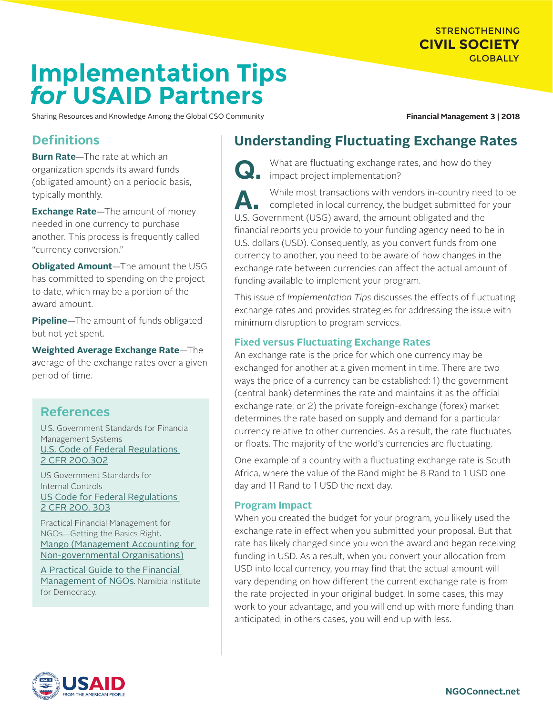# STRENGTHENING **CIVIL SOCIETY GLOBALLY**

# **Implementation Tips** *for* **USAID Partners**

Sharing Resources and Knowledge Among the Global CSO Community **Financial Management 3 | 2018** 

# **Definitions**

**Burn Rate**—The rate at which an organization spends its award funds (obligated amount) on a periodic basis, typically monthly.

**Exchange Rate**—The amount of money needed in one currency to purchase another. This process is frequently called "currency conversion."

**Obligated Amount**—The amount the USG has committed to spending on the project to date, which may be a portion of the award amount.

**Pipeline**—The amount of funds obligated but not yet spent.

**Weighted Average Exchange Rate**—The average of the exchange rates over a given period of time.

# **References**

U.S. Government Standards for Financial Management Systems [U.S. Code of Federal Regulations](https://www.ecfr.gov/cgi-bin/text-idx?SID=94ade594e47ac15d06ac667a5bb6824b&mc=true&node=se2.1.200_1302&rgn=div8)  [2 CFR 200.302](https://www.ecfr.gov/cgi-bin/text-idx?SID=94ade594e47ac15d06ac667a5bb6824b&mc=true&node=se2.1.200_1302&rgn=div8)

US Government Standards for Internal Controls [US Code for Federal Regulations](https://www.ecfr.gov/cgi-bin/retrieveECFR?gp=&SID=40d5fef330d8c657d8fcb31292970368&mc=true&n=pt2.1.200&r=PART&ty=HTML#se2.1.200_1302)  [2 CFR 200. 303](https://www.ecfr.gov/cgi-bin/retrieveECFR?gp=&SID=40d5fef330d8c657d8fcb31292970368&mc=true&n=pt2.1.200&r=PART&ty=HTML#se2.1.200_1302)

Practical Financial Management for NGOs—Getting the Basics Right. [Mango \(Management Accounting for](https://www.mango.org.uk/guide)  [Non-governmental Organisations\)](https://www.mango.org.uk/guide)

[A Practical Guide to the Financial](http://www.nid.org.na/images/pdf/ngo_management_training/Practical_Guide_to_the_Financial_Management_of_NGOs.pdf)  [Management of NGOs](http://www.nid.org.na/images/pdf/ngo_management_training/Practical_Guide_to_the_Financial_Management_of_NGOs.pdf). Namibia Institute for Democracy.

# **Understanding Fluctuating Exchange Rates**

What are fluctuating exchange rates, and how do they impact project implementation?

While most transactions with vendors in-country need to be<br>completed in local currency, the budget submitted for your U.S. Government (USG) award, the amount obligated and the financial reports you provide to your funding agency need to be in U.S. dollars (USD). Consequently, as you convert funds from one currency to another, you need to be aware of how changes in the exchange rate between currencies can affect the actual amount of funding available to implement your program.

This issue of *Implementation Tips* discusses the effects of fluctuating exchange rates and provides strategies for addressing the issue with minimum disruption to program services.

# **Fixed versus Fluctuating Exchange Rates**

An exchange rate is the price for which one currency may be exchanged for another at a given moment in time. There are two ways the price of a currency can be established: 1) the government (central bank) determines the rate and maintains it as the official exchange rate; or 2) the private foreign-exchange (forex) market determines the rate based on supply and demand for a particular currency relative to other currencies. As a result, the rate fluctuates or floats. The majority of the world's currencies are fluctuating.

One example of a country with a fluctuating exchange rate is South Africa, where the value of the Rand might be 8 Rand to 1 USD one day and 11 Rand to 1 USD the next day.

# **Program Impact**

When you created the budget for your program, you likely used the exchange rate in effect when you submitted your proposal. But that rate has likely changed since you won the award and began receiving funding in USD. As a result, when you convert your allocation from USD into local currency, you may find that the actual amount will vary depending on how different the current exchange rate is from the rate projected in your original budget. In some cases, this may work to your advantage, and you will end up with more funding than anticipated; in others cases, you will end up with less.

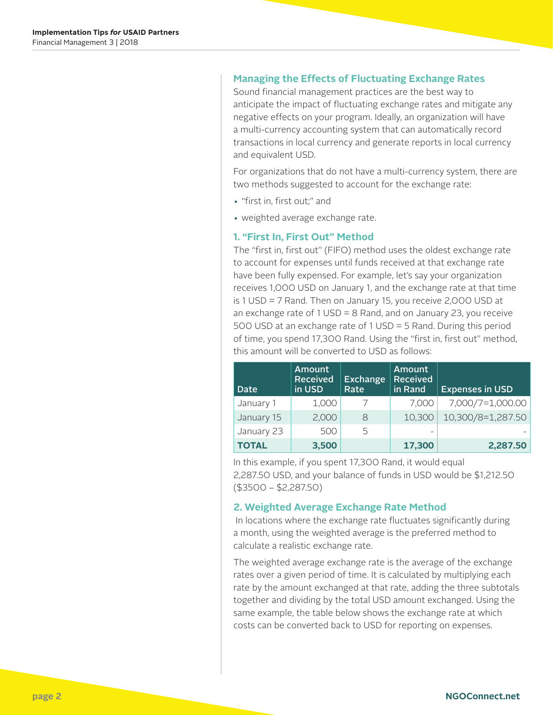#### **Managing the Effects of Fluctuating Exchange Rates**

Sound financial management practices are the best way to anticipate the impact of fluctuating exchange rates and mitigate any negative effects on your program. Ideally, an organization will have a multi-currency accounting system that can automatically record transactions in local currency and generate reports in local currency and equivalent USD.

For organizations that do not have a multi-currency system, there are two methods suggested to account for the exchange rate:

- "first in, first out;" and
- weighted average exchange rate.

#### **1. "First In, First Out" Method**

The "first in, first out" (FIFO) method uses the oldest exchange rate to account for expenses until funds received at that exchange rate have been fully expensed. For example, let's say your organization receives 1,000 USD on January 1, and the exchange rate at that time is 1 USD = 7 Rand. Then on January 15, you receive 2,000 USD at an exchange rate of 1 USD = 8 Rand, and on January 23, you receive 500 USD at an exchange rate of 1 USD = 5 Rand. During this period of time, you spend 17,300 Rand. Using the "first in, first out" method, this amount will be converted to USD as follows:

| <b>Date</b>  | <b>Amount</b><br><b>Received</b><br>in USD | <b>Exchange</b><br>Rate | Amount<br><b>Received</b><br>in Rand | <b>Expenses in USD</b> |
|--------------|--------------------------------------------|-------------------------|--------------------------------------|------------------------|
| January 1    | 1,000                                      |                         | 7.000                                | 7,000/7=1,000.00       |
| January 15   | 2,000                                      | 8                       | 10,300                               | 10,300/8=1,287.50      |
| January 23   | 500                                        | 5                       |                                      |                        |
| <b>TOTAL</b> | 3,500                                      |                         | 17,300                               | 2,287.50               |

In this example, if you spent 17,300 Rand, it would equal 2,287.50 USD, and your balance of funds in USD would be \$1,212.50 (\$3500 – \$2,287.50)

#### **2. Weighted Average Exchange Rate Method**

 In locations where the exchange rate fluctuates significantly during a month, using the weighted average is the preferred method to calculate a realistic exchange rate.

The weighted average exchange rate is the average of the exchange rates over a given period of time. It is calculated by multiplying each rate by the amount exchanged at that rate, adding the three subtotals together and dividing by the total USD amount exchanged. Using the same example, the table below shows the exchange rate at which costs can be converted back to USD for reporting on expenses.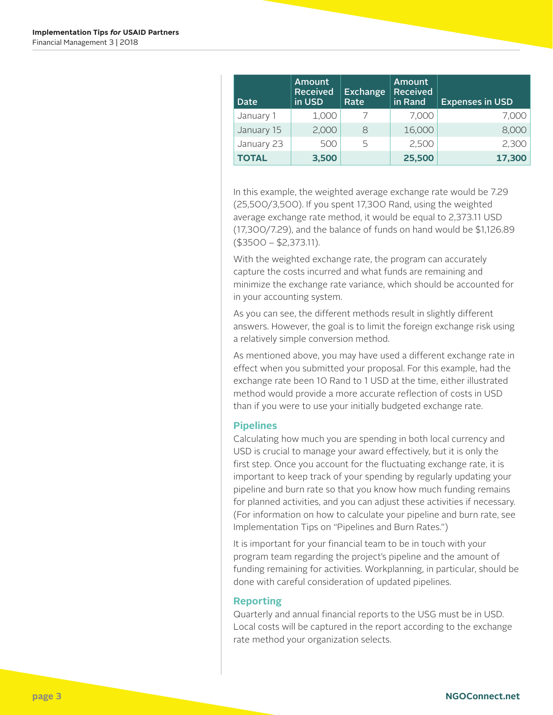| Date         | <b>Amount</b><br><b>Received</b><br>in USD | Exchange<br>Rate | <b>Amount</b><br><b>Received</b><br>in Rand | <b>Expenses in USD</b> |
|--------------|--------------------------------------------|------------------|---------------------------------------------|------------------------|
| January 1    | 1,000                                      |                  | 7,000                                       | 7,000                  |
| January 15   | 2,000                                      | 8                | 16,000                                      | 8,000                  |
| January 23   | 500                                        | 5                | 2,500                                       | 2,300                  |
| <b>TOTAL</b> | 3,500                                      |                  | 25,500                                      | 17,300                 |

In this example, the weighted average exchange rate would be 7.29 (25,500/3,500). If you spent 17,300 Rand, using the weighted average exchange rate method, it would be equal to 2,373.11 USD (17,300/7.29), and the balance of funds on hand would be \$1,126.89 (\$3500 – \$2,373.11).

With the weighted exchange rate, the program can accurately capture the costs incurred and what funds are remaining and minimize the exchange rate variance, which should be accounted for in your accounting system.

As you can see, the different methods result in slightly different answers. However, the goal is to limit the foreign exchange risk using a relatively simple conversion method.

As mentioned above, you may have used a different exchange rate in effect when you submitted your proposal. For this example, had the exchange rate been 10 Rand to 1 USD at the time, either illustrated method would provide a more accurate reflection of costs in USD than if you were to use your initially budgeted exchange rate.

## **Pipelines**

Calculating how much you are spending in both local currency and USD is crucial to manage your award effectively, but it is only the first step. Once you account for the fluctuating exchange rate, it is important to keep track of your spending by regularly updating your pipeline and burn rate so that you know how much funding remains for planned activities, and you can adjust these activities if necessary. (For information on how to calculate your pipeline and burn rate, see Implementation Tips on "Pipelines and Burn Rates.")

It is important for your financial team to be in touch with your program team regarding the project's pipeline and the amount of funding remaining for activities. Workplanning, in particular, should be done with careful consideration of updated pipelines.

#### **Reporting**

Quarterly and annual financial reports to the USG must be in USD. Local costs will be captured in the report according to the exchange rate method your organization selects.